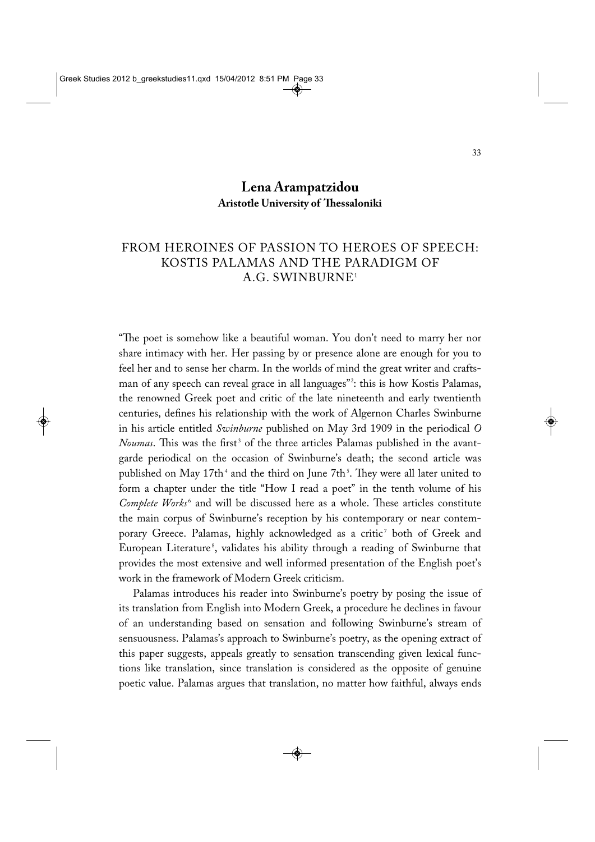## **Lena Arampatzidou Aristotle University of Thessaloniki**

## FROM HEROINES OF PASSION TO HEROES OF SPEECH: KOSTIS PALAMAS AND THE PARADIGM OF A.G. SWINBURNE1

"The poet is somehow like a beautiful woman. You don't need to marry her nor share intimacy with her. Her passing by or presence alone are enough for you to feel her and to sense her charm. In the worlds of mind the great writer and crafts man of any speech can reveal grace in all languages"?: this is how Kostis Palamas, the renowned Greek poet and critic of the late nineteenth and early twentienth centuries, defines his relationship with the work of Algernon Charles Swinburne in his article entitled *Swinburne* published on May 3rd 1909 in the periodical *O Noumas*. This was the first<sup>3</sup> of the three articles Palamas published in the avantgarde periodical on the occasion of Swinburne's death; the second article was published on May 17th<sup>4</sup> and the third on June 7th<sup>5</sup>. They were all later united to form a chapter under the title "How I read a poet" in the tenth volume of his *Complete Works*<sup>6</sup> and will be discussed here as a whole. These articles constitute the main corpus of Swinburne's reception by his contemporary or near contem porary Greece. Palamas, highly acknowledged as a critic<sup>7</sup> both of Greek and European Literature<sup>8</sup>, validates his ability through a reading of Swinburne that provides the most extensive and well informed presentation of the English poet's work in the framework of Modern Greek criticism.

Palamas introduces his reader into Swinburne's poetry by posing the issue of its translation from English into Modern Greek, a procedure he declines in favour of an understanding based on sensation and following Swinburne's stream of sensuousness. Palamas's approach to Swinburne's poetry, as the opening extract of this paper suggests, appeals greatly to sensation transcending given lexical functions like translation, since translation is considered as the opposite of genuine poetic value. Palamas argues that translation, no matter how faithful, always ends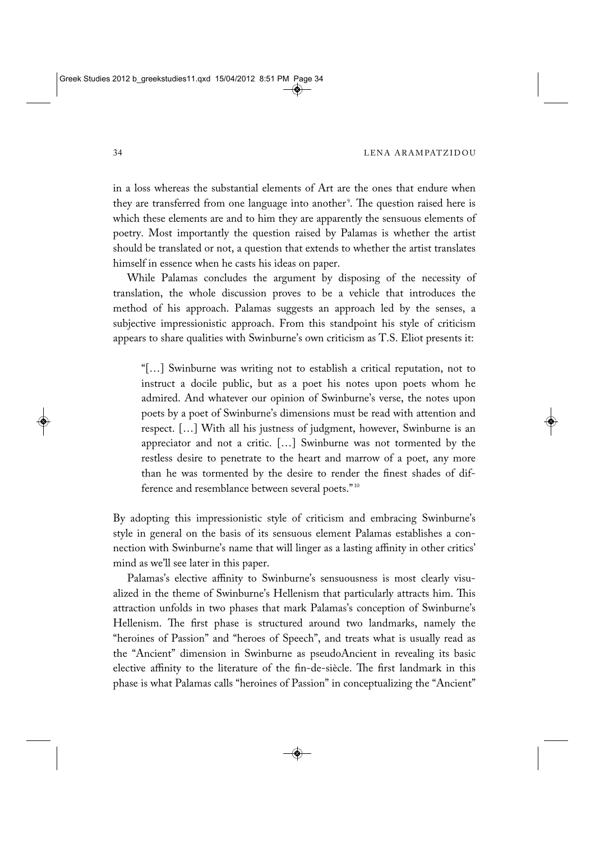in a loss whereas the substantial elements of Art are the ones that endure when they are transferred from one language into another<sup>9</sup>. The question raised here is which these elements are and to him they are apparently the sensuous elements of poetry. Most importantly the question raised by Palamas is whether the artist should be translated or not, a question that extends to whether the artist translates himself in essence when he casts his ideas on paper.

While Palamas concludes the argument by disposing of the necessity of translation, the whole discussion proves to be a vehicle that introduces the method of his approach. Palamas suggests an approach led by the senses, a subjective impressionistic approach. From this standpoint his style of criticism appears to share qualities with Swinburne's own criticism as T.S. Eliot presents it:

"[…] Swinburne was writing not to establish a critical reputation, not to instruct a docile public, but as a poet his notes upon poets whom he admired. And whatever our opinion of Swinburne's verse, the notes upon poets by a poet of Swinburne's dimensions must be read with attention and respect. […] With all his justness of judgment, however, Swinburne is an appreciator and not a critic. […] Swinburne was not tormented by the restless desire to penetrate to the heart and marrow of a poet, any more than he was tormented by the desire to render the finest shades of difference and resemblance between several poets." <sup>10</sup>

By adopting this impressionistic style of criticism and embracing Swinburne's style in general on the basis of its sensuous element Palamas establishes a connection with Swinburne's name that will linger as a lasting affinity in other critics' mind as we'll see later in this paper.

Palamas's elective affinity to Swinburne's sensuousness is most clearly visualized in the theme of Swinburne's Hellenism that particularly attracts him. This attraction unfolds in two phases that mark Palamas's conception of Swinburne's Hellenism. The first phase is structured around two landmarks, namely the "heroines of Passion" and "heroes of Speech", and treats what is usually read as the "Ancient" dimension in Swinburne as pseudoAncient in revealing its basic elective affinity to the literature of the fin-de-siècle. The first landmark in this phase is what Palamas calls "heroines of Passion" in conceptualizing the "Ancient"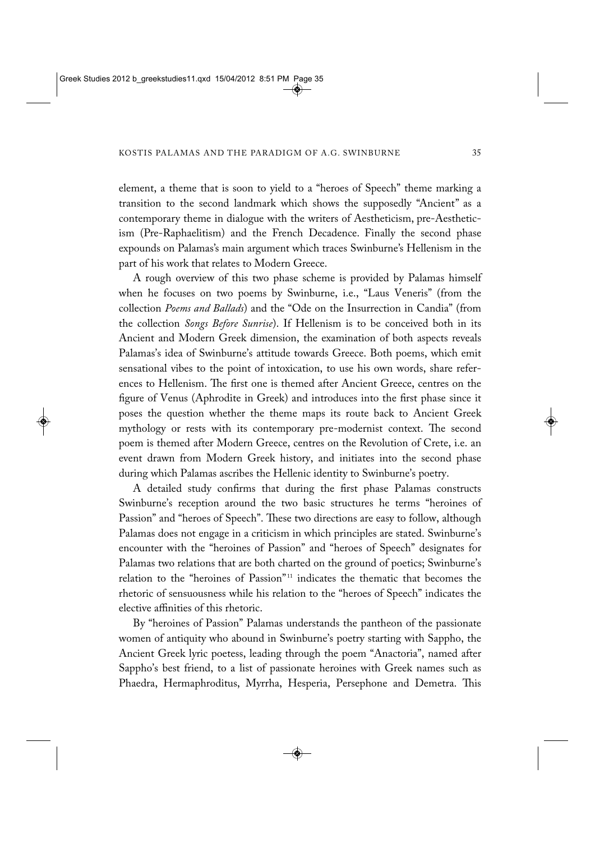element, a theme that is soon to yield to a "heroes of Speech" theme marking a transition to the second landmark which shows the supposedly "Ancient" as a contemporary theme in dialogue with the writers of Aestheticism, pre-Aestheticism (Pre-Raphaelitism) and the French Decadence. Finally the second phase expounds on Palamas's main argument which traces Swinburne's Hellenism in the part of his work that relates to Modern Greece.

A rough overview of this two phase scheme is provided by Palamas himself when he focuses on two poems by Swinburne, i.e., "Laus Veneris" (from the collection *Poems and Ballads*) and the "Ode on the Insurrection in Candia" (from the collection *Songs Before Sunrise*). If Hellenism is to be conceived both in its Ancient and Modern Greek dimension, the examination of both aspects reveals Palamas's idea of Swinburne's attitude towards Greece. Both poems, which emit sensational vibes to the point of intoxication, to use his own words, share refer ences to Hellenism. The first one is themed after Ancient Greece, centres on the figure of Venus (Aphrodite in Greek) and introduces into the first phase since it poses the question whether the theme maps its route back to Ancient Greek mythology or rests with its contemporary pre-modernist context. The second poem is themed after Modern Greece, centres on the Revolution of Crete, i.e. an event drawn from Modern Greek history, and initiates into the second phase during which Palamas ascribes the Hellenic identity to Swinburne's poetry.

A detailed study confirms that during the first phase Palamas constructs Swinburne's reception around the two basic structures he terms "heroines of Passion" and "heroes of Speech". These two directions are easy to follow, although Palamas does not engage in a criticism in which principles are stated. Swinburne's encounter with the "heroines of Passion" and "heroes of Speech" designates for Palamas two relations that are both charted on the ground of poetics; Swinburne's relation to the "heroines of Passion"<sup>11</sup> indicates the thematic that becomes the rhetoric of sensuousness while his relation to the "heroes of Speech" indicates the elective affinities of this rhetoric.

By "heroines of Passion" Palamas understands the pantheon of the passionate women of antiquity who abound in Swinburne's poetry starting with Sappho, the Ancient Greek lyric poetess, leading through the poem "Anactoria", named after Sappho's best friend, to a list of passionate heroines with Greek names such as Phaedra, Hermaphroditus, Myrrha, Hesperia, Persephone and Demetra. This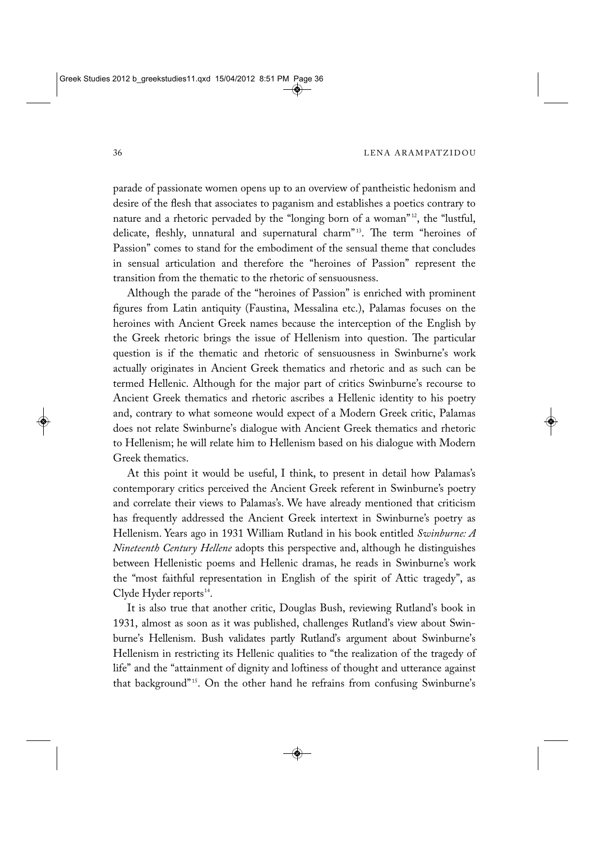parade of passionate women opens up to an overview of pantheistic hedonism and desire of the flesh that associates to paganism and establishes a poetics contrary to nature and a rhetoric pervaded by the "longing born of a woman"<sup>12</sup>, the "lustful, delicate, fleshly, unnatural and supernatural charm"<sup>13</sup>. The term "heroines of Passion" comes to stand for the embodiment of the sensual theme that concludes in sensual articulation and therefore the "heroines of Passion" represent the transition from the thematic to the rhetoric of sensuousness.

Although the parade of the "heroines of Passion" is enriched with prominent figures from Latin antiquity (Faustina, Messalina etc.), Palamas focuses on the heroines with Ancient Greek names because the interception of the English by the Greek rhetoric brings the issue of Hellenism into question. The particular question is if the thematic and rhetoric of sensuousness in Swinburne's work actually originates in Ancient Greek thematics and rhetoric and as such can be termed Hellenic. Although for the major part of critics Swinburne's recourse to Ancient Greek thematics and rhetoric ascribes a Hellenic identity to his poetry and, contrary to what someone would expect of a Modern Greek critic, Palamas does not relate Swinburne's dialogue with Ancient Greek thematics and rhetoric to Hellenism; he will relate him to Hellenism based on his dialogue with Modern Greek thematics.

At this point it would be useful, I think, to present in detail how Palamas's contemporary critics perceived the Ancient Greek referent in Swinburne's poetry and correlate their views to Palamas's. We have already mentioned that criticism has frequently addressed the Ancient Greek intertext in Swinburne's poetry as Hellenism. Years ago in 1931 William Rutland in his book entitled *Swinburne: A Nineteenth Century Hellene* adopts this perspective and, although he distinguishes between Hellenistic poems and Hellenic dramas, he reads in Swinburne's work the "most faithful representation in English of the spirit of Attic tragedy", as Clyde Hyder reports $^{14}$ .

It is also true that another critic, Douglas Bush, reviewing Rutland's book in 1931, almost as soon as it was published, challenges Rutland's view about Swin burne's Hellenism. Bush validates partly Rutland's argument about Swinburne's Hellenism in restricting its Hellenic qualities to "the realization of the tragedy of life" and the "attainment of dignity and loftiness of thought and utterance against that background"<sup>15</sup>. On the other hand he refrains from confusing Swinburne's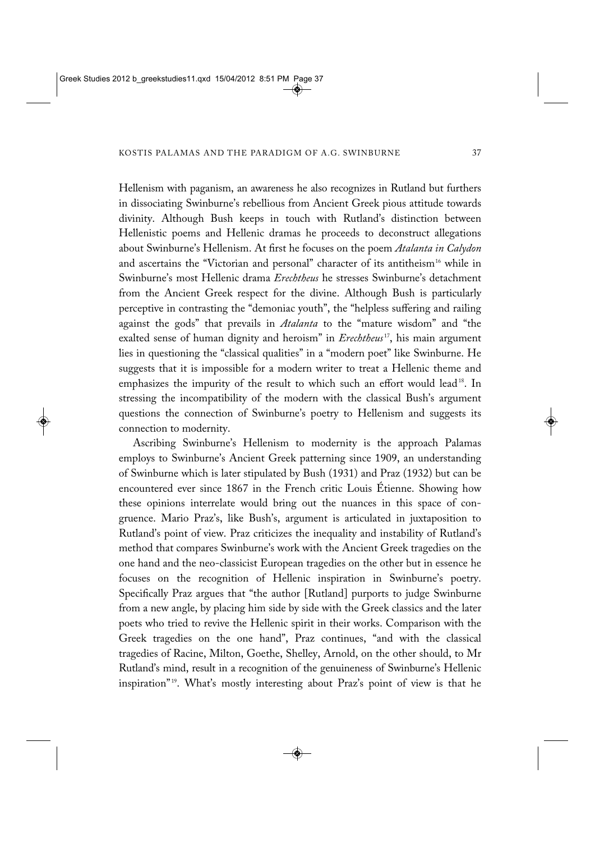Hellenism with paganism, an awareness he also recognizes in Rutland but furthers in dissociating Swinburne's rebellious from Ancient Greek pious attitude towards divinity. Although Bush keeps in touch with Rutland's distinction between Hellenistic poems and Hellenic dramas he proceeds to deconstruct allegations about Swinburne's Hellenism. At first he focuses on the poem *Atalanta in Calydon* and ascertains the "Victorian and personal" character of its antitheism<sup>16</sup> while in Swinburne's most Hellenic drama *Erechtheus* he stresses Swinburne's detachment from the Ancient Greek respect for the divine. Although Bush is particularly perceptive in contrasting the "demoniac youth", the "helpless suffering and railing against the gods" that prevails in *Atalanta* to the "mature wisdom" and "the exalted sense of human dignity and heroism" in *Erechtheus*<sup>17</sup>, his main argument lies in questioning the "classical qualities" in a "modern poet" like Swinburne. He suggests that it is impossible for a modern writer to treat a Hellenic theme and emphasizes the impurity of the result to which such an effort would lead<sup>18</sup>. In stressing the incompatibility of the modern with the classical Bush's argument questions the connection of Swinburne's poetry to Hellenism and suggests its connection to modernity.

Ascribing Swinburne's Hellenism to modernity is the approach Palamas employs to Swinburne's Ancient Greek patterning since 1909, an understanding of Swinburne which is later stipulated by Bush (1931) and Praz (1932) but can be encountered ever since 1867 in the French critic Louis Étienne. Showing how these opinions interrelate would bring out the nuances in this space of congruence. Mario Praz's, like Bush's, argument is articulated in juxtaposition to Rutland's point of view. Praz criticizes the inequality and instability of Rutland's method that compares Swinburne's work with the Ancient Greek tragedies on the one hand and the neo-classicist European tragedies on the other but in essence he focuses on the recognition of Hellenic inspiration in Swinburne's poetry. Specifically Praz argues that "the author [Rutland] purports to judge Swinburne from a new angle, by placing him side by side with the Greek classics and the later poets who tried to revive the Hellenic spirit in their works. Comparison with the Greek tragedies on the one hand", Praz continues, "and with the classical tragedies of Racine, Milton, Goethe, Shelley, Arnold, on the other should, to Mr Rutland's mind, result in a recognition of the genuineness of Swinburne's Hellenic inspiration"<sup>19</sup>. What's mostly interesting about Praz's point of view is that he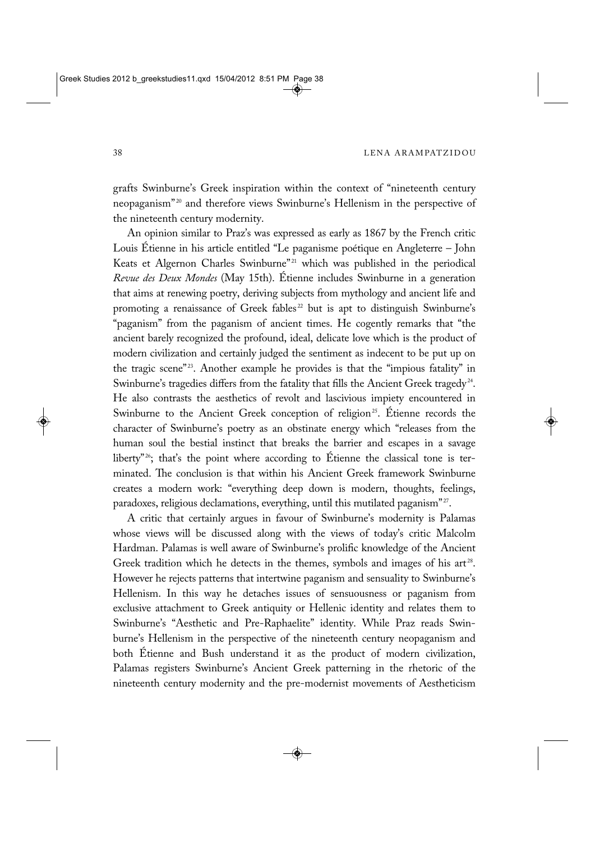grafts Swinburne's Greek inspiration within the context of "nineteenth century neopaganism"<sup>20</sup> and therefore views Swinburne's Hellenism in the perspective of the nineteenth century modernity.

An opinion similar to Praz's was expressed as early as 1867 by the French critic Louis Étienne in his article entitled "Le paganisme poétique en Angleterre – John Keats et Algernon Charles Swinburne"<sup>21</sup> which was published in the periodical *Revue des Deux Mondes* (May 15th). Étienne includes Swinburne in a generation that aims at renewing poetry, deriving subjects from mythology and ancient life and promoting a renaissance of Greek fables<sup>22</sup> but is apt to distinguish Swinburne's "paganism" from the paganism of ancient times. He cogently remarks that "the ancient barely recognized the profound, ideal, delicate love which is the product of modern civilization and certainly judged the sentiment as indecent to be put up on the tragic scene"<sup>23</sup>. Another example he provides is that the "impious fatality" in Swinburne's tragedies differs from the fatality that fills the Ancient Greek tragedy<sup>24</sup>. He also contrasts the aesthetics of revolt and lascivious impiety encountered in Swinburne to the Ancient Greek conception of religion<sup>25</sup>. Étienne records the character of Swinburne's poetry as an obstinate energy which "releases from the human soul the bestial instinct that breaks the barrier and escapes in a savage liberty"<sup>26</sup>; that's the point where according to Étienne the classical tone is terminated. The conclusion is that within his Ancient Greek framework Swinburne creates a modern work: "everything deep down is modern, thoughts, feelings, paradoxes, religious declamations, everything, until this mutilated paganism"<sup>27</sup>.

A critic that certainly argues in favour of Swinburne's modernity is Palamas whose views will be discussed along with the views of today's critic Malcolm Hardman. Palamas is well aware of Swinburne's prolific knowledge of the Ancient Greek tradition which he detects in the themes, symbols and images of his  $art^{28}$ . However he rejects patterns that intertwine paganism and sensuality to Swinburne's Hellenism. In this way he detaches issues of sensuousness or paganism from exclusive attachment to Greek antiquity or Hellenic identity and relates them to Swinburne's "Aesthetic and Pre-Raphaelite" identity. While Praz reads Swinburne's Hellenism in the perspective of the nineteenth century neopaganism and both Étienne and Bush understand it as the product of modern civilization, Palamas registers Swinburne's Ancient Greek patterning in the rhetoric of the nineteenth century modernity and the pre-modernist movements of Aestheticism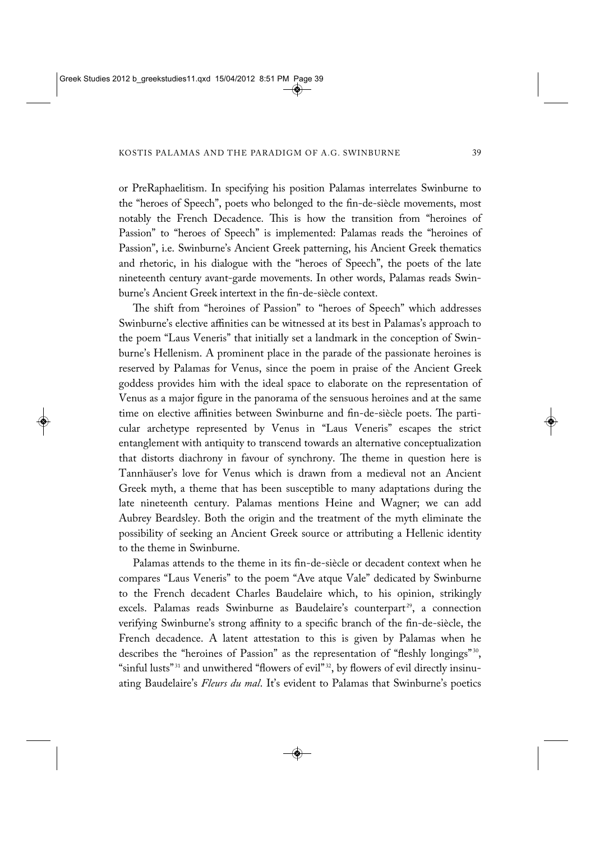or PreRaphaelitism. In specifying his position Palamas interrelates Swinburne to the "heroes of Speech", poets who belonged to the fin-de-siècle movements, most notably the French Decadence. This is how the transition from "heroines of Passion" to "heroes of Speech" is implemented: Palamas reads the "heroines of Passion", i.e. Swinburne's Ancient Greek patterning, his Ancient Greek thematics and rhetoric, in his dialogue with the "heroes of Speech", the poets of the late nineteenth century avant-garde movements. In other words, Palamas reads Swinburne's Ancient Greek intertext in the fin-de-siècle context.

The shift from "heroines of Passion" to "heroes of Speech" which addresses Swinburne's elective affinities can be witnessed at its best in Palamas's approach to the poem "Laus Veneris" that initially set a landmark in the conception of Swinburne's Hellenism. A prominent place in the parade of the passionate heroines is reserved by Palamas for Venus, since the poem in praise of the Ancient Greek goddess provides him with the ideal space to elaborate on the representation of Venus as a major figure in the panorama of the sensuous heroines and at the same time on elective affinities between Swinburne and fin-de-siècle poets. The particular archetype represented by Venus in "Laus Veneris" escapes the strict entanglement with antiquity to transcend towards an alternative conceptualization that distorts diachrony in favour of synchrony. The theme in question here is Tannhäuser's love for Venus which is drawn from a medieval not an Ancient Greek myth, a theme that has been susceptible to many adaptations during the late nineteenth century. Palamas mentions Heine and Wagner; we can add Aubrey Beardsley. Both the origin and the treatment of the myth eliminate the possibility of seeking an Ancient Greek source or attributing a Hellenic identity to the theme in Swinburne.

Palamas attends to the theme in its fin-de-siècle or decadent context when he compares "Laus Veneris" to the poem "Ave atque Vale" dedicated by Swinburne to the French decadent Charles Baudelaire which, to his opinion, strikingly excels. Palamas reads Swinburne as Baudelaire's counterpart<sup>29</sup>, a connection verifying Swinburne's strong affinity to a specific branch of the fin-de-siècle, the French decadence. A latent attestation to this is given by Palamas when he describes the "heroines of Passion" as the representation of "fleshly longings"<sup>30</sup>, "sinful lusts"<sup>31</sup> and unwithered "flowers of evil"<sup>32</sup>, by flowers of evil directly insinuating Baudelaire's *Fleurs du mal*. It's evident to Palamas that Swinburne's poetics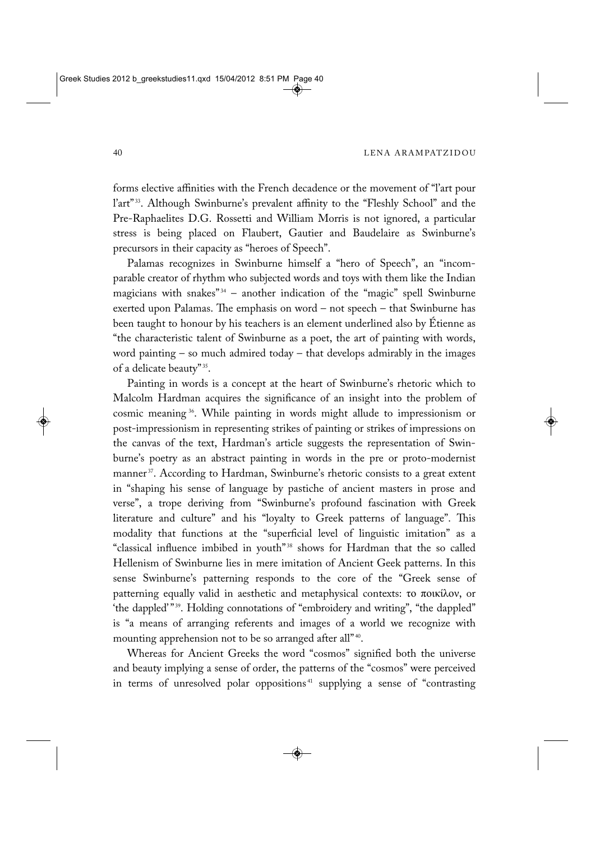forms elective affinities with the French decadence or the movement of "l'art pour l'art"<sup>33</sup>. Although Swinburne's prevalent affinity to the "Fleshly School" and the Pre-Raphaelites D.G. Rossetti and William Morris is not ignored, a particular stress is being placed on Flaubert, Gautier and Baudelaire as Swinburne's precursors in their capacity as "heroes of Speech".

Palamas recognizes in Swinburne himself a "hero of Speech", an "incomparable creator of rhythm who subjected words and toys with them like the Indian magicians with snakes" $34$  – another indication of the "magic" spell Swinburne exerted upon Palamas. The emphasis on word – not speech – that Swinburne has been taught to honour by his teachers is an element underlined also by Étienne as "the characteristic talent of Swinburne as a poet, the art of painting with words, word painting – so much admired today – that develops admirably in the images of a delicate beauty" 35.

Painting in words is a concept at the heart of Swinburne's rhetoric which to Malcolm Hardman acquires the significance of an insight into the problem of cosmic meaning 36. While painting in words might allude to impressionism or post-impressionism in representing strikes of painting or strikes of impressions on the canvas of the text, Hardman's article suggests the representation of Swinburne's poetry as an abstract painting in words in the pre or proto-modernist manner<sup>37</sup>. According to Hardman, Swinburne's rhetoric consists to a great extent in "shaping his sense of language by pastiche of ancient masters in prose and verse", a trope deriving from "Swinburne's profound fascination with Greek literature and culture" and his "loyalty to Greek patterns of language". This modality that functions at the "superficial level of linguistic imitation" as a "classical influence imbibed in youth"<sup>38</sup> shows for Hardman that the so called Hellenism of Swinburne lies in mere imitation of Ancient Geek patterns. In this sense Swinburne's patterning responds to the core of the "Greek sense of patterning equally valid in aesthetic and metaphysical contexts: το ποικίλον, or 'the dappled'"<sup>39</sup>. Holding connotations of "embroidery and writing", "the dappled" is "a means of arranging referents and images of a world we recognize with mounting apprehension not to be so arranged after all"<sup>40</sup>.

Whereas for Ancient Greeks the word "cosmos" signified both the universe and beauty implying a sense of order, the patterns of the "cosmos" were perceived in terms of unresolved polar oppositions<sup>41</sup> supplying a sense of "contrasting"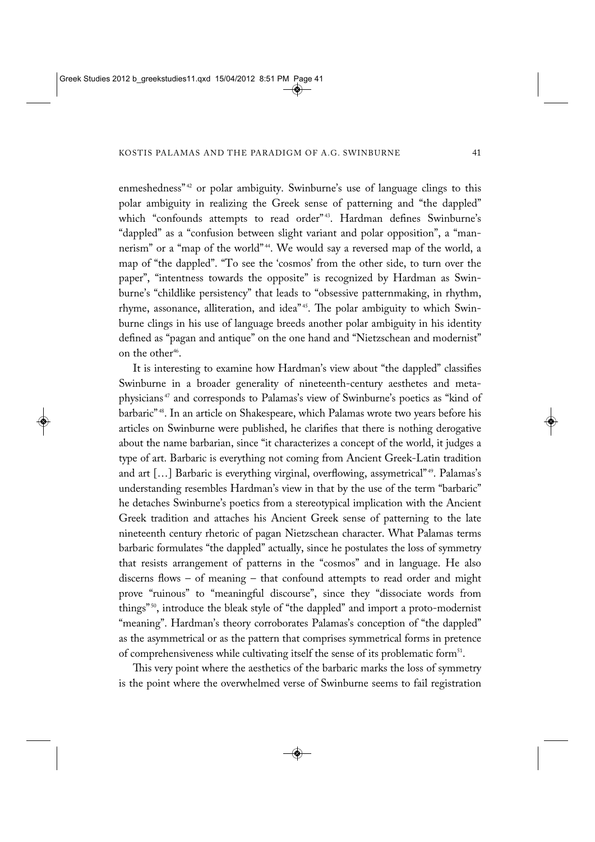enmeshedness"<sup>42</sup> or polar ambiguity. Swinburne's use of language clings to this polar ambiguity in realizing the Greek sense of patterning and "the dappled" which "confounds attempts to read order"<sup>43</sup>. Hardman defines Swinburne's "dappled" as a "confusion between slight variant and polar opposition", a "man nerism" or a "map of the world"<sup>44</sup>. We would say a reversed map of the world, a map of "the dappled". "To see the 'cosmos' from the other side, to turn over the paper", "intentness towards the opposite" is recognized by Hardman as Swinburne's "childlike persistency" that leads to "obsessive patternmaking, in rhythm, rhyme, assonance, alliteration, and idea"<sup>45</sup>. The polar ambiguity to which Swinburne clings in his use of language breeds another polar ambiguity in his identity defined as "pagan and antique" on the one hand and "Nietzschean and modernist" on the other<sup>46</sup>.

It is interesting to examine how Hardman's view about "the dappled" classifies Swinburne in a broader generality of nineteenth-century aesthetes and metaphysicians <sup>47</sup> and corresponds to Palamas's view of Swinburne's poetics as "kind of barbaric" 48. In an article on Shakespeare, which Palamas wrote two years before his articles on Swinburne were published, he clarifies that there is nothing derogative about the name barbarian, since "it characterizes a concept of the world, it judges a type of art. Barbaric is everything not coming from Ancient Greek-Latin tradition and art [...] Barbaric is everything virginal, overflowing, assymetrical"<sup>49</sup>. Palamas's understanding resembles Hardman's view in that by the use of the term "barbaric" he detaches Swinburne's poetics from a stereotypical implication with the Ancient Greek tradition and attaches his Ancient Greek sense of patterning to the late nineteenth century rhetoric of pagan Nietzschean character. What Palamas terms barbaric formulates "the dappled" actually, since he postulates the loss of symmetry that resists arrangement of patterns in the "cosmos" and in language. He also discerns flows – of meaning – that confound attempts to read order and might prove "ruinous" to "meaningful discourse", since they "dissociate words from things" 50, introduce the bleak style of "the dappled" and import a proto-modernist "meaning". Hardman's theory corroborates Palamas's conception of "the dappled" as the asymmetrical or as the pattern that comprises symmetrical forms in pretence of comprehensiveness while cultivating itself the sense of its problematic form<sup>51</sup>.

This very point where the aesthetics of the barbaric marks the loss of symmetry is the point where the overwhelmed verse of Swinburne seems to fail registration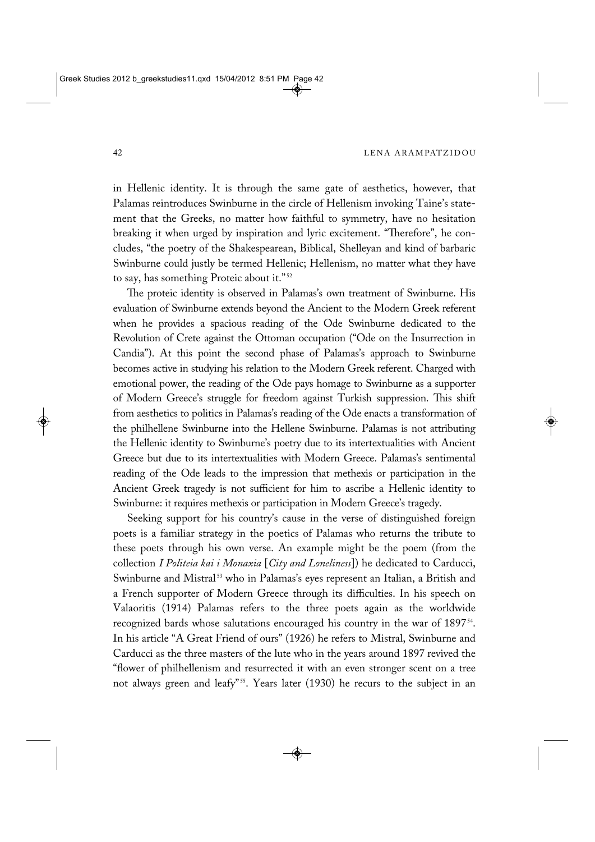in Hellenic identity. It is through the same gate of aesthetics, however, that Palamas reintroduces Swinburne in the circle of Hellenism invoking Taine's state ment that the Greeks, no matter how faithful to symmetry, have no hesitation breaking it when urged by inspiration and lyric excitement. "Therefore", he concludes, "the poetry of the Shakespearean, Biblical, Shelleyan and kind of barbaric Swinburne could justly be termed Hellenic; Hellenism, no matter what they have to say, has something Proteic about it."<sup>52</sup>

The proteic identity is observed in Palamas's own treatment of Swinburne. His evaluation of Swinburne extends beyond the Ancient to the Modern Greek referent when he provides a spacious reading of the Ode Swinburne dedicated to the Revolution of Crete against the Ottoman occupation ("Ode on the Insurrection in Candia"). At this point the second phase of Palamas's approach to Swinburne becomes active in studying his relation to the Modern Greek referent. Charged with emotional power, the reading of the Ode pays homage to Swinburne as a supporter of Modern Greece's struggle for freedom against Turkish suppression. This shift from aesthetics to politics in Palamas's reading of the Ode enacts a transformation of the philhellene Swinburne into the Hellene Swinburne. Palamas is not attributing the Hellenic identity to Swinburne's poetry due to its intertextualities with Ancient Greece but due to its intertextualities with Modern Greece. Palamas's sentimental reading of the Ode leads to the impression that methexis or participation in the Ancient Greek tragedy is not sufficient for him to ascribe a Hellenic identity to Swinburne: it requires methexis or participation in Modern Greece's tragedy.

Seeking support for his country's cause in the verse of distinguished foreign poets is a familiar strategy in the poetics of Palamas who returns the tribute to these poets through his own verse. An example might be the poem (from the collection *I Politeia kai i Monaxia* [*City and Loneliness*]) he dedicated to Carducci, Swinburne and Mistral<sup>53</sup> who in Palamas's eyes represent an Italian, a British and a French supporter of Modern Greece through its difficulties. In his speech on Valaoritis (1914) Palamas refers to the three poets again as the worldwide recognized bards whose salutations encouraged his country in the war of 189754. In his article "A Great Friend of ours" (1926) he refers to Mistral, Swinburne and Carducci as the three masters of the lute who in the years around 1897 revived the "flower of philhellenism and resurrected it with an even stronger scent on a tree not always green and leafy"<sup>55</sup>. Years later (1930) he recurs to the subject in an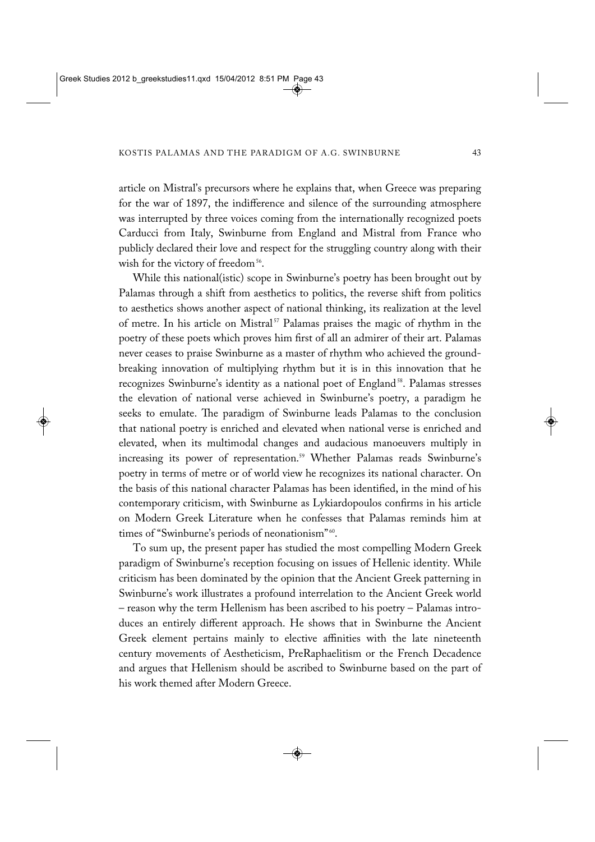article on Mistral's precursors where he explains that, when Greece was preparing for the war of 1897, the indifference and silence of the surrounding atmosphere was interrupted by three voices coming from the internationally recognized poets Carducci from Italy, Swinburne from England and Mistral from France who publicly declared their love and respect for the struggling country along with their wish for the victory of freedom<sup>56</sup>.

While this national(istic) scope in Swinburne's poetry has been brought out by Palamas through a shift from aesthetics to politics, the reverse shift from politics to aesthetics shows another aspect of national thinking, its realization at the level of metre. In his article on Mistral<sup>57</sup> Palamas praises the magic of rhythm in the poetry of these poets which proves him first of all an admirer of their art. Palamas never ceases to praise Swinburne as a master of rhythm who achieved the groundbreaking innovation of multiplying rhythm but it is in this innovation that he recognizes Swinburne's identity as a national poet of England<sup>58</sup>. Palamas stresses the elevation of national verse achieved in Swinburne's poetry, a paradigm he seeks to emulate. The paradigm of Swinburne leads Palamas to the conclusion that national poetry is enriched and elevated when national verse is enriched and elevated, when its multimodal changes and audacious manoeuvers multiply in increasing its power of representation.<sup>59</sup> Whether Palamas reads Swinburne's poetry in terms of metre or of world view he recognizes its national character. On the basis of this national character Palamas has been identified, in the mind of his contemporary criticism, with Swinburne as Lykiardopoulos confirms in his article on Modern Greek Literature when he confesses that Palamas reminds him at times of "Swinburne's periods of neonationism"<sup>60</sup>.

To sum up, the present paper has studied the most compelling Modern Greek paradigm of Swinburne's reception focusing on issues of Hellenic identity. While criticism has been dominated by the opinion that the Ancient Greek patterning in Swinburne's work illustrates a profound interrelation to the Ancient Greek world – reason why the term Hellenism has been ascribed to his poetry – Palamas intro duces an entirely different approach. He shows that in Swinburne the Ancient Greek element pertains mainly to elective affinities with the late nineteenth century movements of Aestheticism, PreRaphaelitism or the French Decadence and argues that Hellenism should be ascribed to Swinburne based on the part of his work themed after Modern Greece.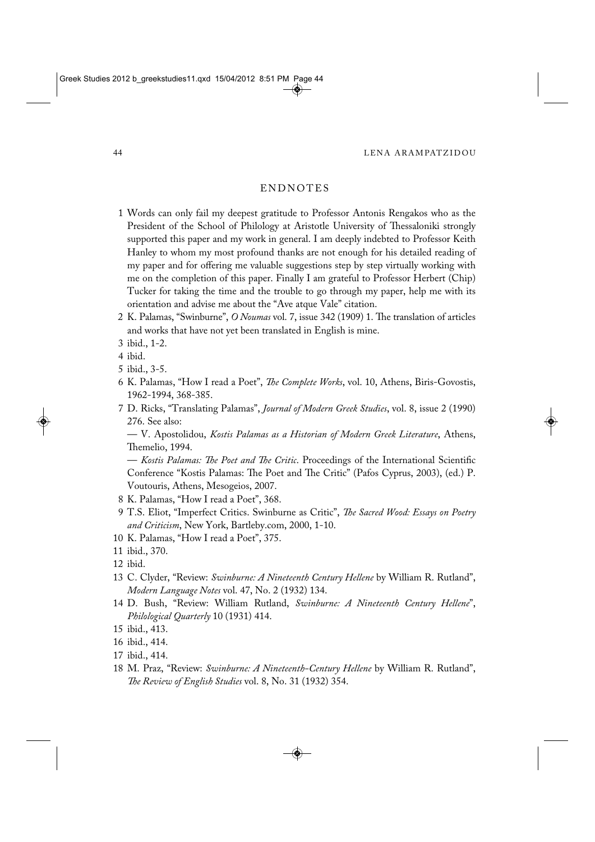## ENDNOTES

- 1 Words can only fail my deepest gratitude to Professor Antonis Rengakos who as the President of the School of Philology at Aristotle University of Thessaloniki strongly supported this paper and my work in general. I am deeply indebted to Professor Keith Hanley to whom my most profound thanks are not enough for his detailed reading of my paper and for offering me valuable suggestions step by step virtually working with me on the completion of this paper. Finally I am grateful to Professor Herbert (Chip) Tucker for taking the time and the trouble to go through my paper, help me with its orientation and advise me about the "Ave atque Vale" citation.
- 2 K. Palamas, "Swinburne", *O Noumas* vol. 7, issue 342 (1909) 1. The translation of articles and works that have not yet been translated in English is mine.
- 3 ibid., 1-2.
- 4 ibid.
- 5 ibid., 3-5.
- 6 K. Palamas, "How I read a Poet", *The Complete Works*, vol. 10, Athens, Biris-Govostis, 1962-1994, 368-385.
- 7 D. Ricks, "Translating Palamas", *Journal of Modern Greek Studies*, vol. 8, issue 2 (1990) 276. See also:

— V. Apostolidou, *Kostis Palamas as a Historian of Modern Greek Literature*, Athens, Themelio, 1994.

— *Kostis Palamas: The Poet and The Critic*. Proceedings of the International Scientific Conference "Kostis Palamas: The Poet and The Critic" (Pafos Cyprus, 2003), (ed.) P. Voutouris, Athens, Mesogeios, 2007.

- 8 K. Palamas, "How I read a Poet", 368.
- 9 T.S. Eliot, "Imperfect Critics. Swinburne as Critic", *The Sacred Wood: Essays on Poetry and Criticism*, New York, Bartleby.com, 2000, 1-10.
- 10 K. Palamas, "How I read a Poet", 375.

- 12 ibid.
- 13 C. Clyder, "Review: *Swinburne: A Nineteenth Century Hellene* by William R. Rutland", *Modern Language Notes* vol. 47, No. 2 (1932) 134.
- 14 D. Bush, "Review: William Rutland, *Swinburne: A Nineteenth Century Hellene*", *Philological Quarterly* 10 (1931) 414.
- 15 ibid., 413.
- 16 ibid., 414.
- 17 ibid., 414.
- 18 M. Praz, "Review: *Swinburne: A Nineteenth-Century Hellene* by William R. Rutland", *The Review of English Studies* vol. 8, No. 31 (1932) 354.

<sup>11</sup> ibid., 370.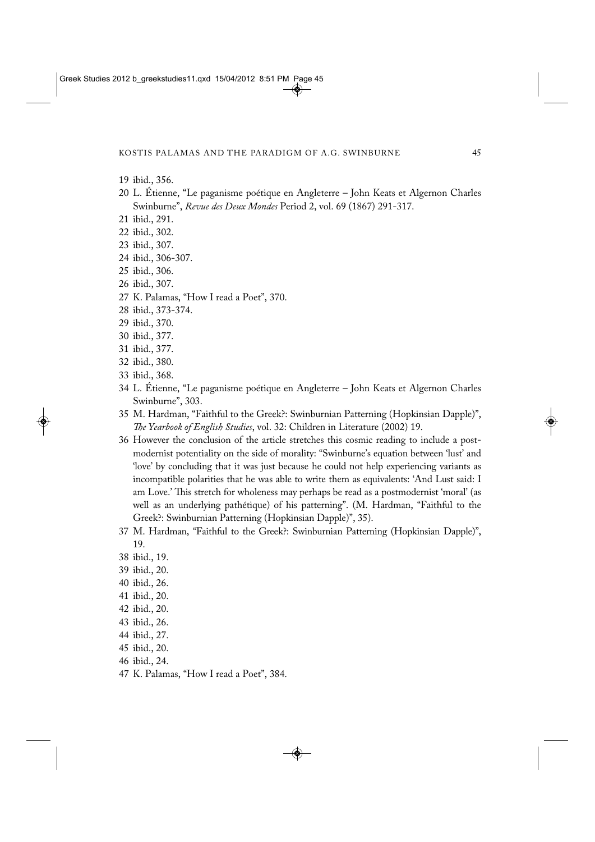- 19 ibid., 356.
- 20 L. Étienne, "Le paganisme poétique en Angleterre John Keats et Algernon Charles Swinburne", *Revue des Deux Mondes* Period 2, vol. 69 (1867) 291-317.
- 21 ibid., 291.
- 22 ibid., 302.
- 23 ibid., 307.
- 24 ibid., 306-307.
- 25 ibid., 306.
- 26 ibid., 307.
- 27 K. Palamas, "How I read a Poet", 370.
- 28 ibid., 373-374.
- 29 ibid., 370.
- 30 ibid., 377.
- 31 ibid., 377.
- 32 ibid., 380.
- 33 ibid., 368.
- 34 L. Étienne, "Le paganisme poétique en Angleterre John Keats et Algernon Charles Swinburne", 303.
- 35 M. Hardman, "Faithful to the Greek?: Swinburnian Patterning (Hopkinsian Dapple)", *The Yearbook of English Studies*, vol. 32: Children in Literature (2002) 19.
- 36 However the conclusion of the article stretches this cosmic reading to include a postmodernist potentiality on the side of morality: "Swinburne's equation between 'lust' and 'love' by concluding that it was just because he could not help experiencing variants as incompatible polarities that he was able to write them as equivalents: 'And Lust said: I am Love.' This stretch for wholeness may perhaps be read as a postmodernist 'moral' (as well as an underlying pathétique) of his patterning". (M. Hardman, "Faithful to the Greek?: Swinburnian Patterning (Hopkinsian Dapple)", 35).
- 37 M. Hardman, "Faithful to the Greek?: Swinburnian Patterning (Hopkinsian Dapple)", 19.
- 38 ibid., 19.
- 39 ibid., 20.
- 40 ibid., 26.
- 41 ibid., 20.
- 42 ibid., 20.
- 43 ibid., 26.
- 44 ibid., 27.
- 45 ibid., 20.
- 46 ibid., 24.
- 47 K. Palamas, "How I read a Poet", 384.